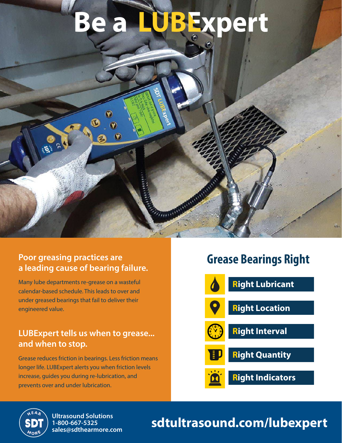# **Be a LUBExpert**



Many lube departments re-grease on a wasteful calendar-based schedule. This leads to over and under greased bearings that fail to deliver their engineered value.

#### **LUBExpert tells us when to grease... and when to stop.**

Grease reduces friction in bearings. Less friction means longer life. LUBExpert alerts you when friction levels increase, guides you during re-lubrication, and prevents over and under lubrication.

### **Grease Bearings Right**





**1-800-667-5325 sales@sdthearmore.com**

## Ultrasound Solutions<br>1-800-667-5325<br>color@cdtboxmere.com **Sdtultrasound.com/lubexpert**